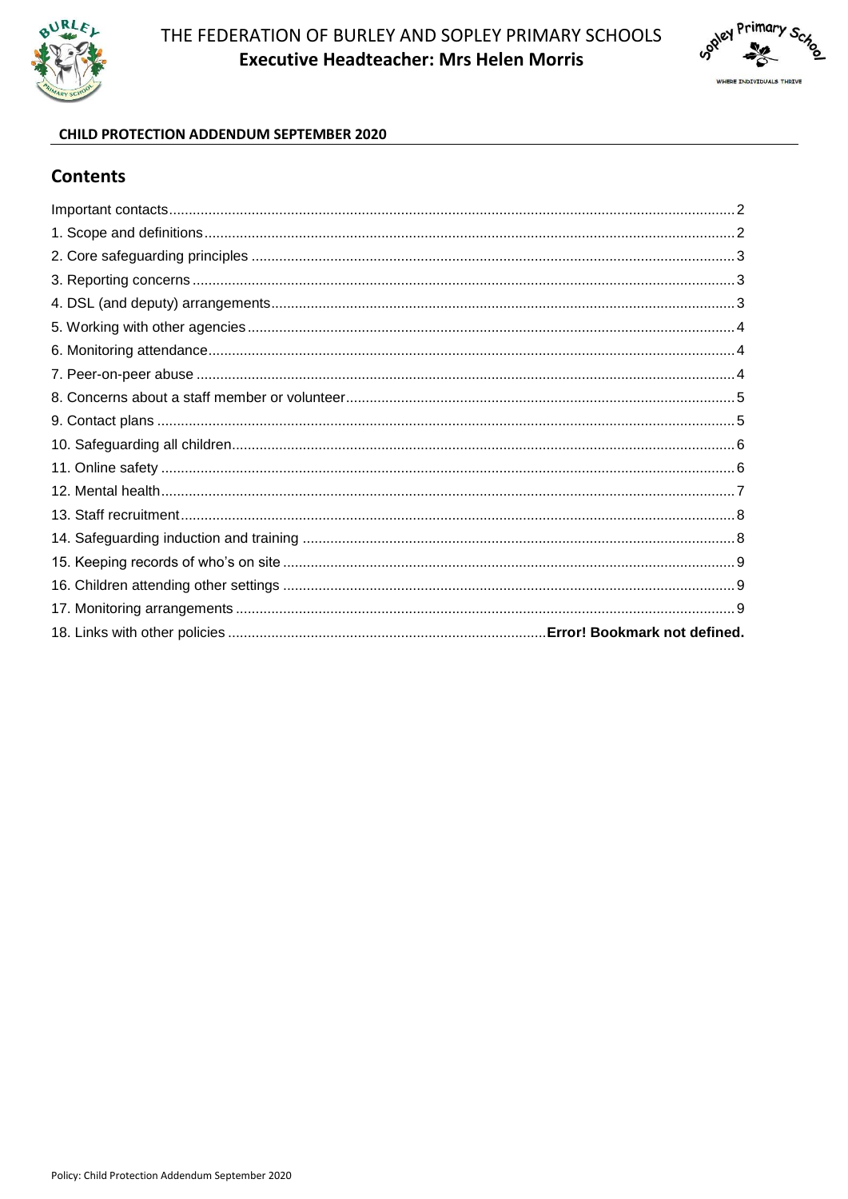



#### **CHILD PROTECTION ADDENDUM SEPTEMBER 2020**

#### **Contents**

<span id="page-0-0"></span>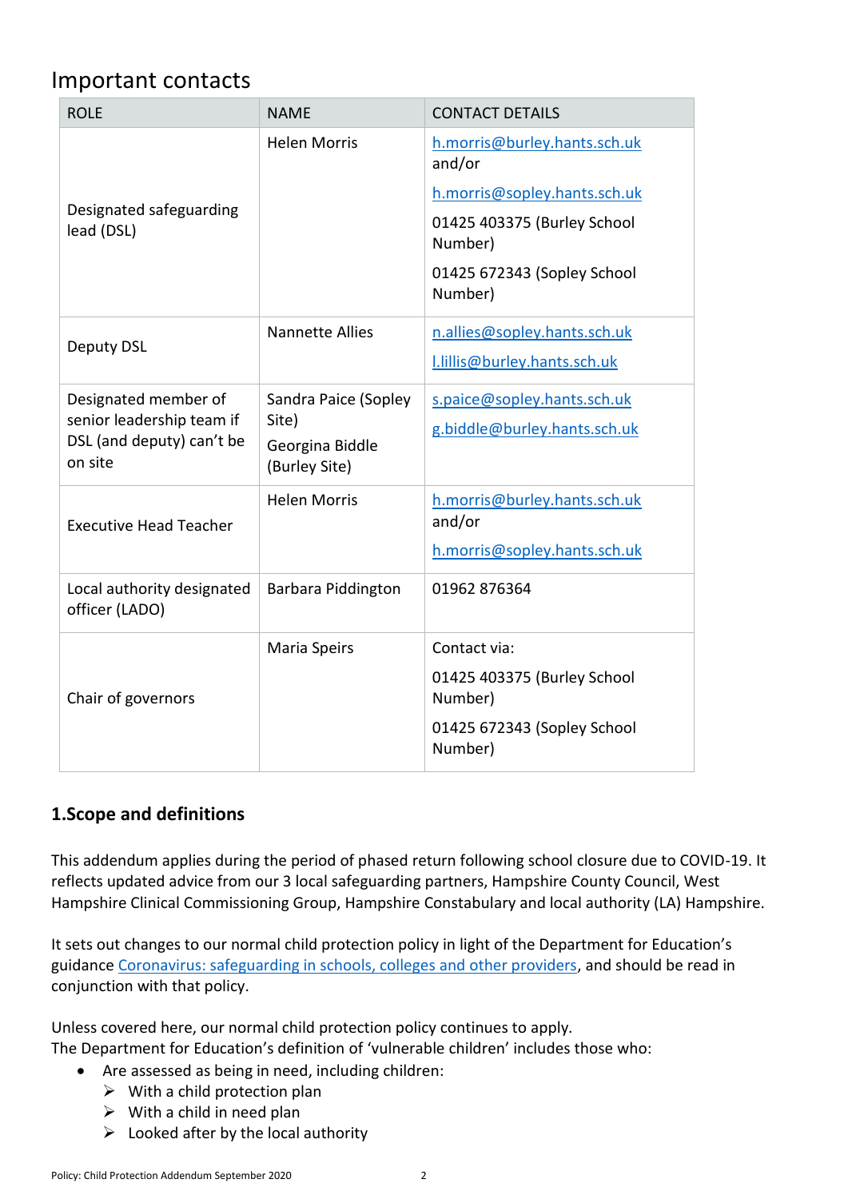# Important contacts

| <b>ROLE</b>                                                                               | <b>NAME</b>                                                       | <b>CONTACT DETAILS</b>                 |
|-------------------------------------------------------------------------------------------|-------------------------------------------------------------------|----------------------------------------|
| Designated safeguarding<br>lead (DSL)                                                     | <b>Helen Morris</b>                                               | h.morris@burley.hants.sch.uk<br>and/or |
|                                                                                           |                                                                   | h.morris@sopley.hants.sch.uk           |
|                                                                                           |                                                                   | 01425 403375 (Burley School<br>Number) |
|                                                                                           |                                                                   | 01425 672343 (Sopley School<br>Number) |
|                                                                                           | <b>Nannette Allies</b>                                            | n.allies@sopley.hants.sch.uk           |
| <b>Deputy DSL</b>                                                                         |                                                                   | I.lillis@burley.hants.sch.uk           |
| Designated member of<br>senior leadership team if<br>DSL (and deputy) can't be<br>on site | Sandra Paice (Sopley<br>Site)<br>Georgina Biddle<br>(Burley Site) | s.paice@sopley.hants.sch.uk            |
|                                                                                           |                                                                   | g.biddle@burley.hants.sch.uk           |
| <b>Executive Head Teacher</b>                                                             | <b>Helen Morris</b>                                               | h.morris@burley.hants.sch.uk<br>and/or |
|                                                                                           |                                                                   | h.morris@sopley.hants.sch.uk           |
| Local authority designated<br>officer (LADO)                                              | Barbara Piddington                                                | 01962 876364                           |
| Chair of governors                                                                        | Maria Speirs                                                      | Contact via:                           |
|                                                                                           |                                                                   | 01425 403375 (Burley School<br>Number) |
|                                                                                           |                                                                   | 01425 672343 (Sopley School<br>Number) |

## <span id="page-1-0"></span>**1.Scope and definitions**

This addendum applies during the period of phased return following school closure due to COVID-19. It reflects updated advice from our 3 local safeguarding partners, Hampshire County Council, West Hampshire Clinical Commissioning Group, Hampshire Constabulary and local authority (LA) Hampshire.

It sets out changes to our normal child protection policy in light of the Department for Education's guidance [Coronavirus: safeguarding in schools, colleges and other providers,](https://www.gov.uk/government/publications/covid-19-safeguarding-in-schools-colleges-and-other-providers) and should be read in conjunction with that policy.

Unless covered here, our normal child protection policy continues to apply. The Department for Education's definition of 'vulnerable children' includes those who:

- Are assessed as being in need, including children:
	- $\triangleright$  With a child protection plan
	- $\triangleright$  With a child in need plan
	- $\triangleright$  Looked after by the local authority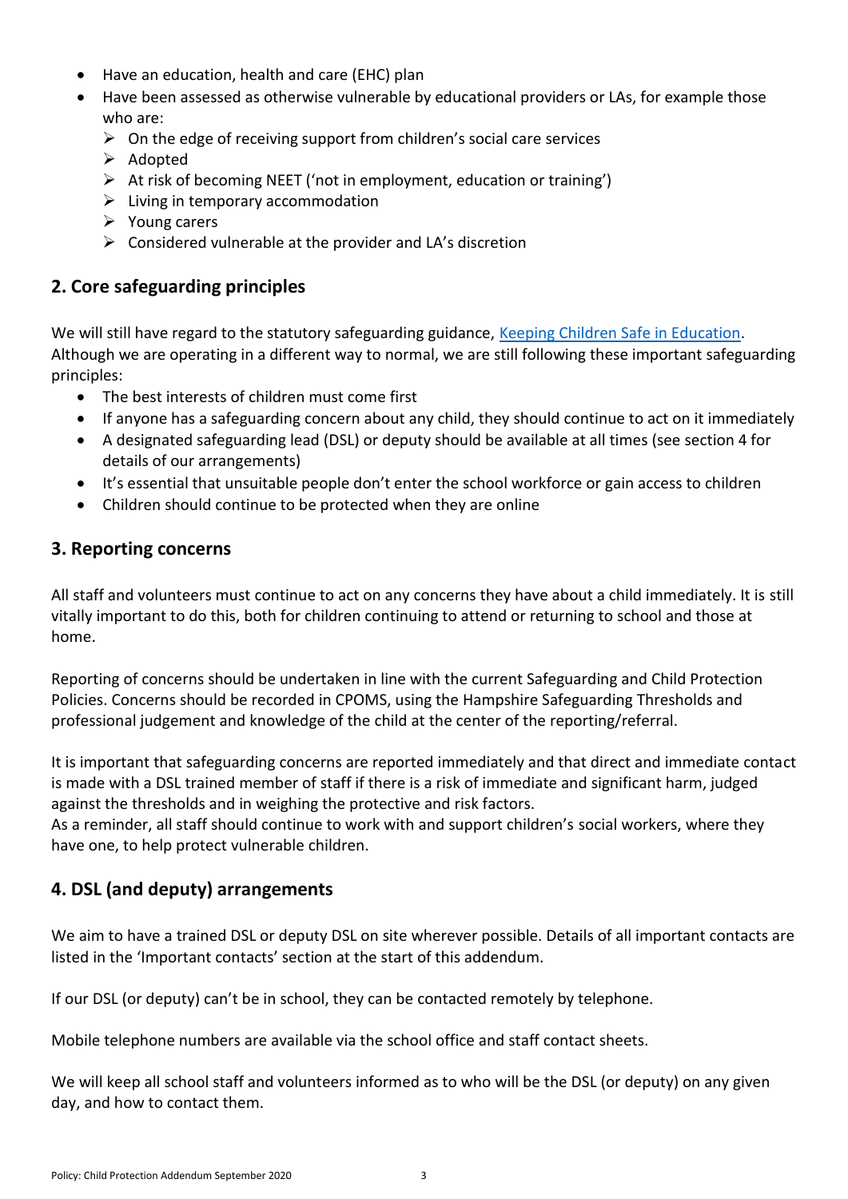- Have an education, health and care (EHC) plan
- Have been assessed as otherwise vulnerable by educational providers or LAs, for example those who are:
	- $\triangleright$  On the edge of receiving support from children's social care services
	- $\triangleright$  Adopted
	- $\triangleright$  At risk of becoming NEET ('not in employment, education or training')
	- $\triangleright$  Living in temporary accommodation
	- $\triangleright$  Young carers
	- $\triangleright$  Considered vulnerable at the provider and LA's discretion

## <span id="page-2-0"></span>**2. Core safeguarding principles**

We will still have regard to the statutory safeguarding guidance, [Keeping Children Safe in Education.](https://www.gov.uk/government/publications/keeping-children-safe-in-education--2) Although we are operating in a different way to normal, we are still following these important safeguarding principles:

- The best interests of children must come first
- If anyone has a safeguarding concern about any child, they should continue to act on it immediately
- A designated safeguarding lead (DSL) or deputy should be available at all times (see section 4 for details of our arrangements)
- It's essential that unsuitable people don't enter the school workforce or gain access to children
- Children should continue to be protected when they are online

### <span id="page-2-1"></span>**3. Reporting concerns**

All staff and volunteers must continue to act on any concerns they have about a child immediately. It is still vitally important to do this, both for children continuing to attend or returning to school and those at home.

Reporting of concerns should be undertaken in line with the current Safeguarding and Child Protection Policies. Concerns should be recorded in CPOMS, using the Hampshire Safeguarding Thresholds and professional judgement and knowledge of the child at the center of the reporting/referral.

It is important that safeguarding concerns are reported immediately and that direct and immediate contact is made with a DSL trained member of staff if there is a risk of immediate and significant harm, judged against the thresholds and in weighing the protective and risk factors.

As a reminder, all staff should continue to work with and support children's social workers, where they have one, to help protect vulnerable children.

## <span id="page-2-2"></span>**4. DSL (and deputy) arrangements**

We aim to have a trained DSL or deputy DSL on site wherever possible. Details of all important contacts are listed in the 'Important contacts' section at the start of this addendum.

If our DSL (or deputy) can't be in school, they can be contacted remotely by telephone.

Mobile telephone numbers are available via the school office and staff contact sheets.

We will keep all school staff and volunteers informed as to who will be the DSL (or deputy) on any given day, and how to contact them.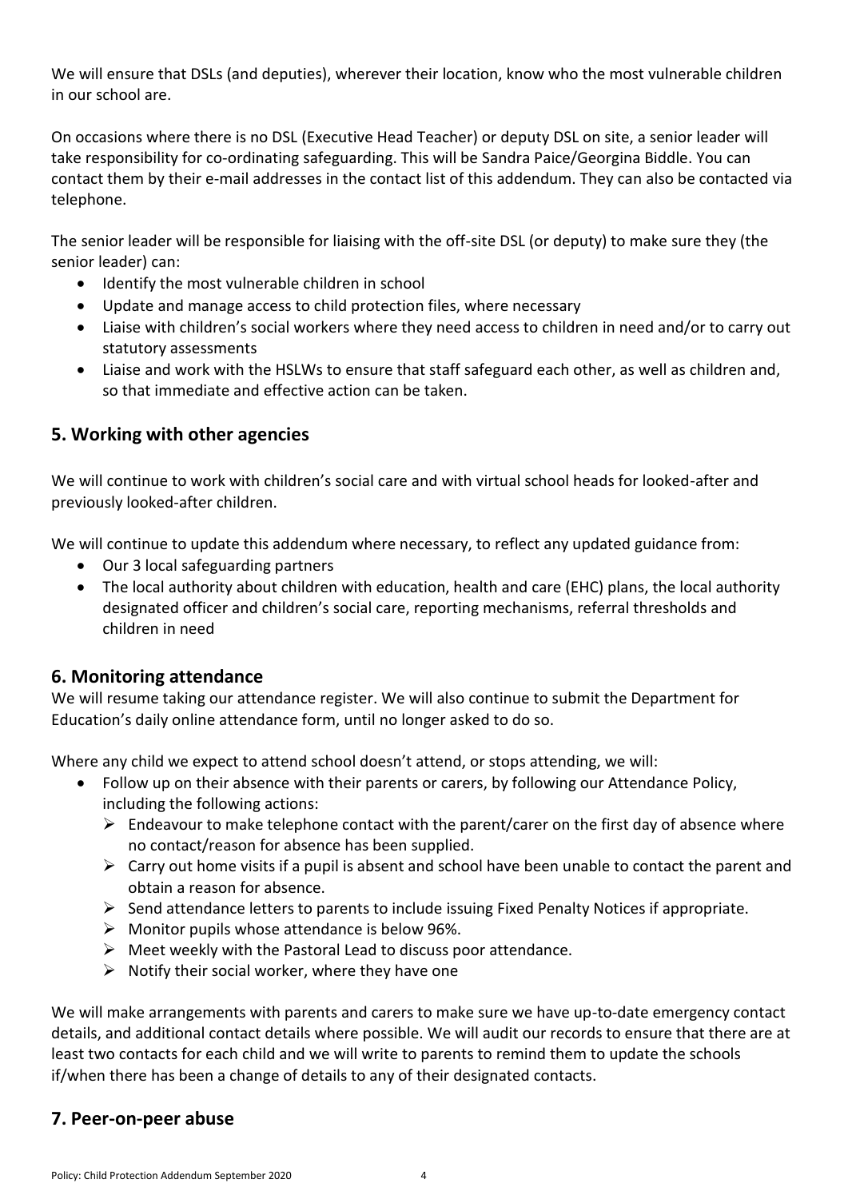We will ensure that DSLs (and deputies), wherever their location, know who the most vulnerable children in our school are.

On occasions where there is no DSL (Executive Head Teacher) or deputy DSL on site, a senior leader will take responsibility for co-ordinating safeguarding. This will be Sandra Paice/Georgina Biddle. You can contact them by their e-mail addresses in the contact list of this addendum. They can also be contacted via telephone.

The senior leader will be responsible for liaising with the off-site DSL (or deputy) to make sure they (the senior leader) can:

- Identify the most vulnerable children in school
- Update and manage access to child protection files, where necessary
- Liaise with children's social workers where they need access to children in need and/or to carry out statutory assessments
- Liaise and work with the HSLWs to ensure that staff safeguard each other, as well as children and, so that immediate and effective action can be taken.

### <span id="page-3-0"></span>**5. Working with other agencies**

We will continue to work with children's social care and with virtual school heads for looked-after and previously looked-after children.

We will continue to update this addendum where necessary, to reflect any updated guidance from:

- Our 3 local safeguarding partners
- The local authority about children with education, health and care (EHC) plans, the local authority designated officer and children's social care, reporting mechanisms, referral thresholds and children in need

#### <span id="page-3-1"></span>**6. Monitoring attendance**

We will resume taking our attendance register. We will also continue to submit the Department for Education's daily online attendance form, until no longer asked to do so.

Where any child we expect to attend school doesn't attend, or stops attending, we will:

- Follow up on their absence with their parents or carers, by following our Attendance Policy, including the following actions:
	- $\triangleright$  Endeavour to make telephone contact with the parent/carer on the first day of absence where no contact/reason for absence has been supplied.
	- $\triangleright$  Carry out home visits if a pupil is absent and school have been unable to contact the parent and obtain a reason for absence.
	- $\triangleright$  Send attendance letters to parents to include issuing Fixed Penalty Notices if appropriate.
	- $\triangleright$  Monitor pupils whose attendance is below 96%.
	- $\triangleright$  Meet weekly with the Pastoral Lead to discuss poor attendance.
	- $\triangleright$  Notify their social worker, where they have one

We will make arrangements with parents and carers to make sure we have up-to-date emergency contact details, and additional contact details where possible. We will audit our records to ensure that there are at least two contacts for each child and we will write to parents to remind them to update the schools if/when there has been a change of details to any of their designated contacts.

### <span id="page-3-2"></span>**7. Peer-on-peer abuse**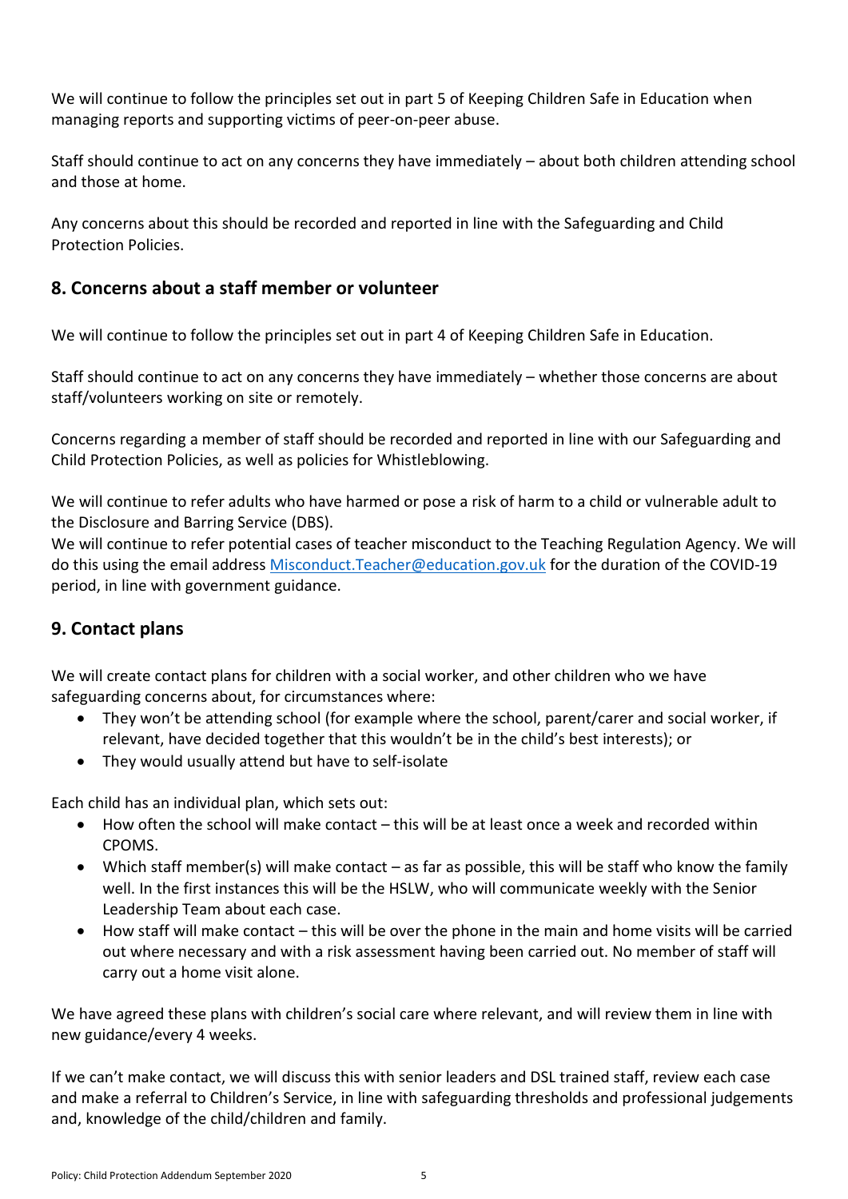We will continue to follow the principles set out in part 5 of Keeping Children Safe in Education when managing reports and supporting victims of peer-on-peer abuse.

Staff should continue to act on any concerns they have immediately – about both children attending school and those at home.

Any concerns about this should be recorded and reported in line with the Safeguarding and Child Protection Policies.

### <span id="page-4-0"></span>**8. Concerns about a staff member or volunteer**

We will continue to follow the principles set out in part 4 of Keeping Children Safe in Education.

Staff should continue to act on any concerns they have immediately – whether those concerns are about staff/volunteers working on site or remotely.

Concerns regarding a member of staff should be recorded and reported in line with our Safeguarding and Child Protection Policies, as well as policies for Whistleblowing.

We will continue to refer adults who have harmed or pose a risk of harm to a child or vulnerable adult to the Disclosure and Barring Service (DBS).

We will continue to refer potential cases of teacher misconduct to the Teaching Regulation Agency. We will do this using the email address [Misconduct.Teacher@education.gov.uk](mailto:Misconduct.Teacher@education.gov.uk) for the duration of the COVID-19 period, in line with government guidance.

### <span id="page-4-1"></span>**9. Contact plans**

We will create contact plans for children with a social worker, and other children who we have safeguarding concerns about, for circumstances where:

- They won't be attending school (for example where the school, parent/carer and social worker, if relevant, have decided together that this wouldn't be in the child's best interests); or
- They would usually attend but have to self-isolate

Each child has an individual plan, which sets out:

- How often the school will make contact this will be at least once a week and recorded within CPOMS.
- Which staff member(s) will make contact as far as possible, this will be staff who know the family well. In the first instances this will be the HSLW, who will communicate weekly with the Senior Leadership Team about each case.
- How staff will make contact this will be over the phone in the main and home visits will be carried out where necessary and with a risk assessment having been carried out. No member of staff will carry out a home visit alone.

We have agreed these plans with children's social care where relevant, and will review them in line with new guidance/every 4 weeks.

If we can't make contact, we will discuss this with senior leaders and DSL trained staff, review each case and make a referral to Children's Service, in line with safeguarding thresholds and professional judgements and, knowledge of the child/children and family.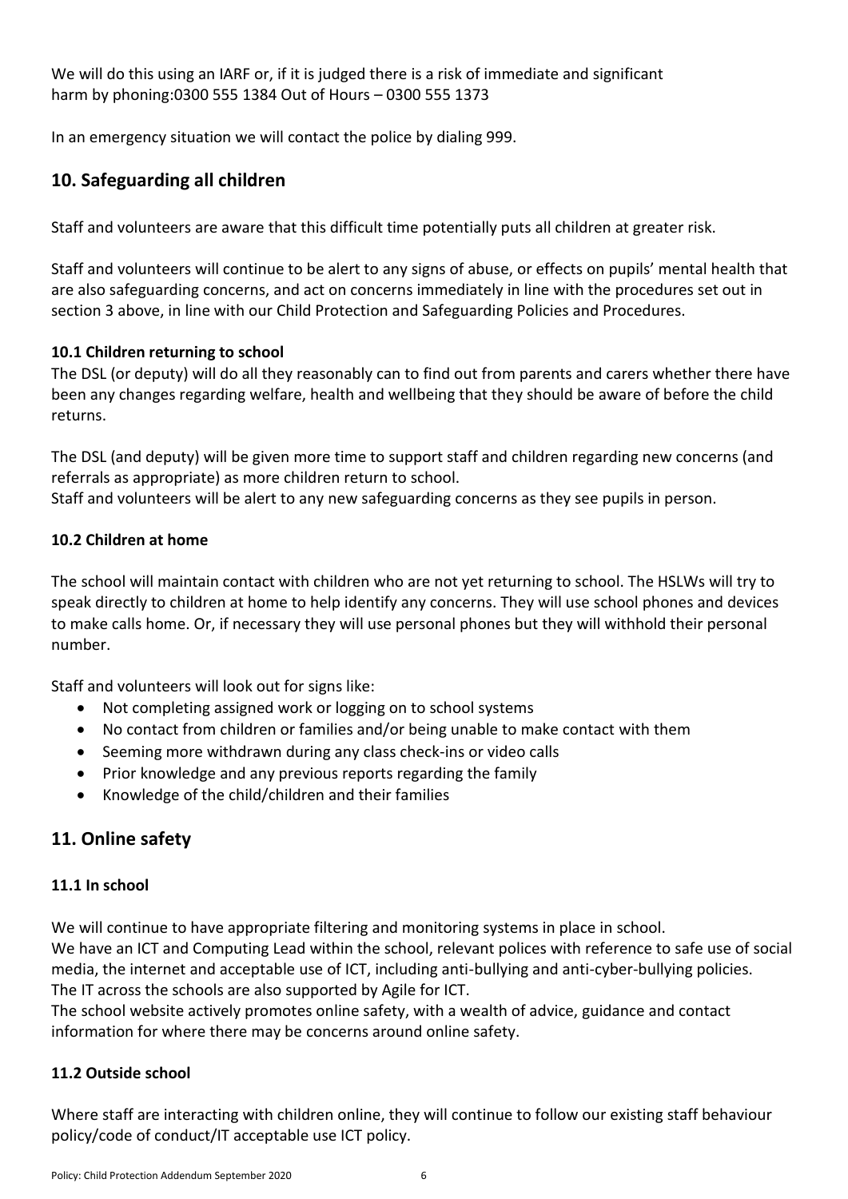We will do this using an IARF or, if it is judged there is a risk of immediate and significant harm by phoning:0300 555 1384 Out of Hours – 0300 555 1373

In an emergency situation we will contact the police by dialing 999.

## <span id="page-5-0"></span>**10. Safeguarding all children**

Staff and volunteers are aware that this difficult time potentially puts all children at greater risk.

Staff and volunteers will continue to be alert to any signs of abuse, or effects on pupils' mental health that are also safeguarding concerns, and act on concerns immediately in line with the procedures set out in section 3 above, in line with our Child Protection and Safeguarding Policies and Procedures.

#### **10.1 Children returning to school**

The DSL (or deputy) will do all they reasonably can to find out from parents and carers whether there have been any changes regarding welfare, health and wellbeing that they should be aware of before the child returns.

The DSL (and deputy) will be given more time to support staff and children regarding new concerns (and referrals as appropriate) as more children return to school.

Staff and volunteers will be alert to any new safeguarding concerns as they see pupils in person.

#### **10.2 Children at home**

The school will maintain contact with children who are not yet returning to school. The HSLWs will try to speak directly to children at home to help identify any concerns. They will use school phones and devices to make calls home. Or, if necessary they will use personal phones but they will withhold their personal number.

Staff and volunteers will look out for signs like:

- Not completing assigned work or logging on to school systems
- No contact from children or families and/or being unable to make contact with them
- Seeming more withdrawn during any class check-ins or video calls
- Prior knowledge and any previous reports regarding the family
- Knowledge of the child/children and their families

## <span id="page-5-1"></span>**11. Online safety**

### **11.1 In school**

We will continue to have appropriate filtering and monitoring systems in place in school. We have an ICT and Computing Lead within the school, relevant polices with reference to safe use of social media, the internet and acceptable use of ICT, including anti-bullying and anti-cyber-bullying policies. The IT across the schools are also supported by Agile for ICT.

The school website actively promotes online safety, with a wealth of advice, guidance and contact information for where there may be concerns around online safety.

### **11.2 Outside school**

Where staff are interacting with children online, they will continue to follow our existing staff behaviour policy/code of conduct/IT acceptable use ICT policy.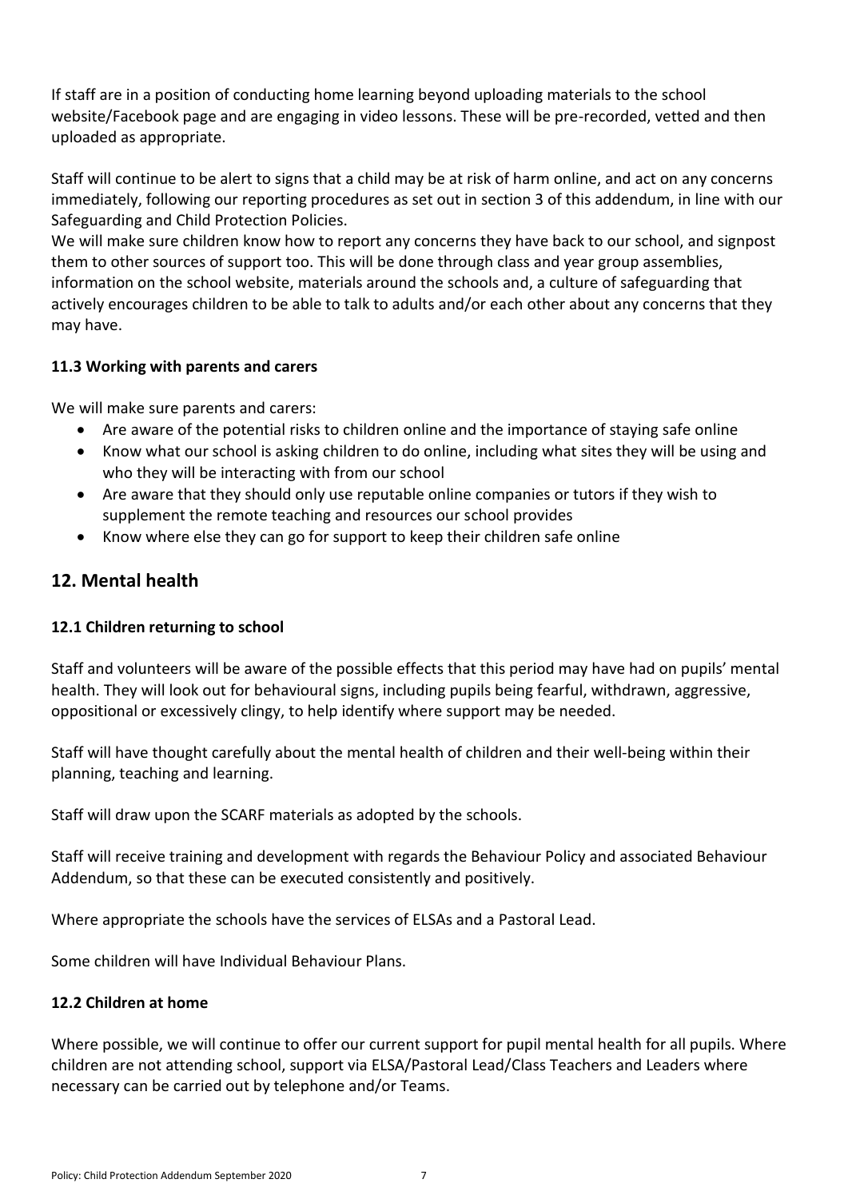If staff are in a position of conducting home learning beyond uploading materials to the school website/Facebook page and are engaging in video lessons. These will be pre-recorded, vetted and then uploaded as appropriate.

Staff will continue to be alert to signs that a child may be at risk of harm online, and act on any concerns immediately, following our reporting procedures as set out in section 3 of this addendum, in line with our Safeguarding and Child Protection Policies.

We will make sure children know how to report any concerns they have back to our school, and signpost them to other sources of support too. This will be done through class and year group assemblies, information on the school website, materials around the schools and, a culture of safeguarding that actively encourages children to be able to talk to adults and/or each other about any concerns that they may have.

#### **11.3 Working with parents and carers**

We will make sure parents and carers:

- Are aware of the potential risks to children online and the importance of staying safe online
- Know what our school is asking children to do online, including what sites they will be using and who they will be interacting with from our school
- Are aware that they should only use reputable online companies or tutors if they wish to supplement the remote teaching and resources our school provides
- Know where else they can go for support to keep their children safe online

#### <span id="page-6-0"></span>**12. Mental health**

#### **12.1 Children returning to school**

Staff and volunteers will be aware of the possible effects that this period may have had on pupils' mental health. They will look out for behavioural signs, including pupils being fearful, withdrawn, aggressive, oppositional or excessively clingy, to help identify where support may be needed.

Staff will have thought carefully about the mental health of children and their well-being within their planning, teaching and learning.

Staff will draw upon the SCARF materials as adopted by the schools.

Staff will receive training and development with regards the Behaviour Policy and associated Behaviour Addendum, so that these can be executed consistently and positively.

Where appropriate the schools have the services of ELSAs and a Pastoral Lead.

Some children will have Individual Behaviour Plans.

#### **12.2 Children at home**

Where possible, we will continue to offer our current support for pupil mental health for all pupils. Where children are not attending school, support via ELSA/Pastoral Lead/Class Teachers and Leaders where necessary can be carried out by telephone and/or Teams.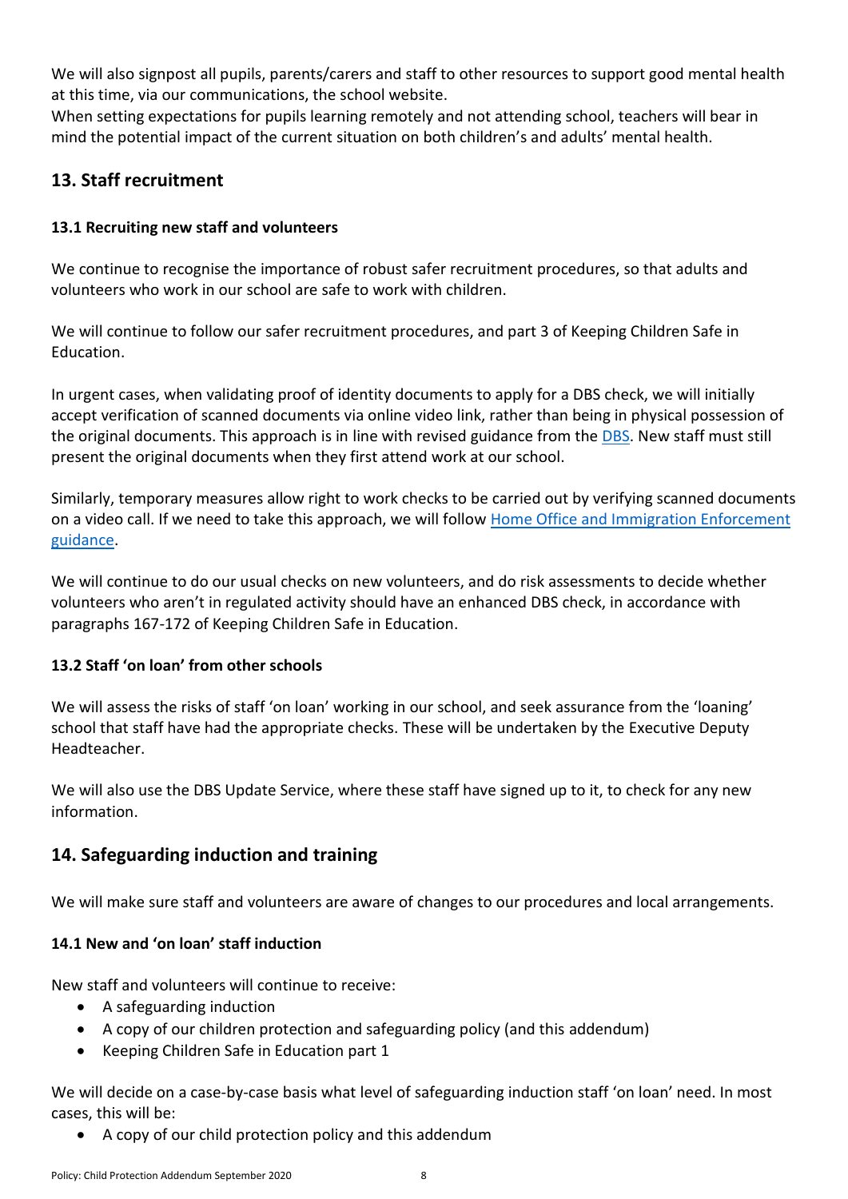We will also signpost all pupils, parents/carers and staff to other resources to support good mental health at this time, via our communications, the school website.

When setting expectations for pupils learning remotely and not attending school, teachers will bear in mind the potential impact of the current situation on both children's and adults' mental health.

### <span id="page-7-0"></span>**13. Staff recruitment**

#### **13.1 Recruiting new staff and volunteers**

We continue to recognise the importance of robust safer recruitment procedures, so that adults and volunteers who work in our school are safe to work with children.

We will continue to follow our safer recruitment procedures, and part 3 of Keeping Children Safe in Education.

In urgent cases, when validating proof of identity documents to apply for a DBS check, we will initially accept verification of scanned documents via online video link, rather than being in physical possession of the original documents. This approach is in line with revised guidance from the **DBS**. New staff must still present the original documents when they first attend work at our school.

Similarly, temporary measures allow right to work checks to be carried out by verifying scanned documents on a video call. If we need to take this approach, we will follow Home Office and Immigration Enforcement [guidance.](https://www.gov.uk/guidance/coronavirus-covid-19-right-to-work-checks)

We will continue to do our usual checks on new volunteers, and do risk assessments to decide whether volunteers who aren't in regulated activity should have an enhanced DBS check, in accordance with paragraphs 167-172 of Keeping Children Safe in Education.

#### **13.2 Staff 'on loan' from other schools**

We will assess the risks of staff 'on loan' working in our school, and seek assurance from the 'loaning' school that staff have had the appropriate checks. These will be undertaken by the Executive Deputy Headteacher.

We will also use the DBS Update Service, where these staff have signed up to it, to check for any new information.

## <span id="page-7-1"></span>**14. Safeguarding induction and training**

We will make sure staff and volunteers are aware of changes to our procedures and local arrangements.

#### **14.1 New and 'on loan' staff induction**

New staff and volunteers will continue to receive:

- A safeguarding induction
- A copy of our children protection and safeguarding policy (and this addendum)
- Keeping Children Safe in Education part 1

We will decide on a case-by-case basis what level of safeguarding induction staff 'on loan' need. In most cases, this will be:

A copy of our child protection policy and this addendum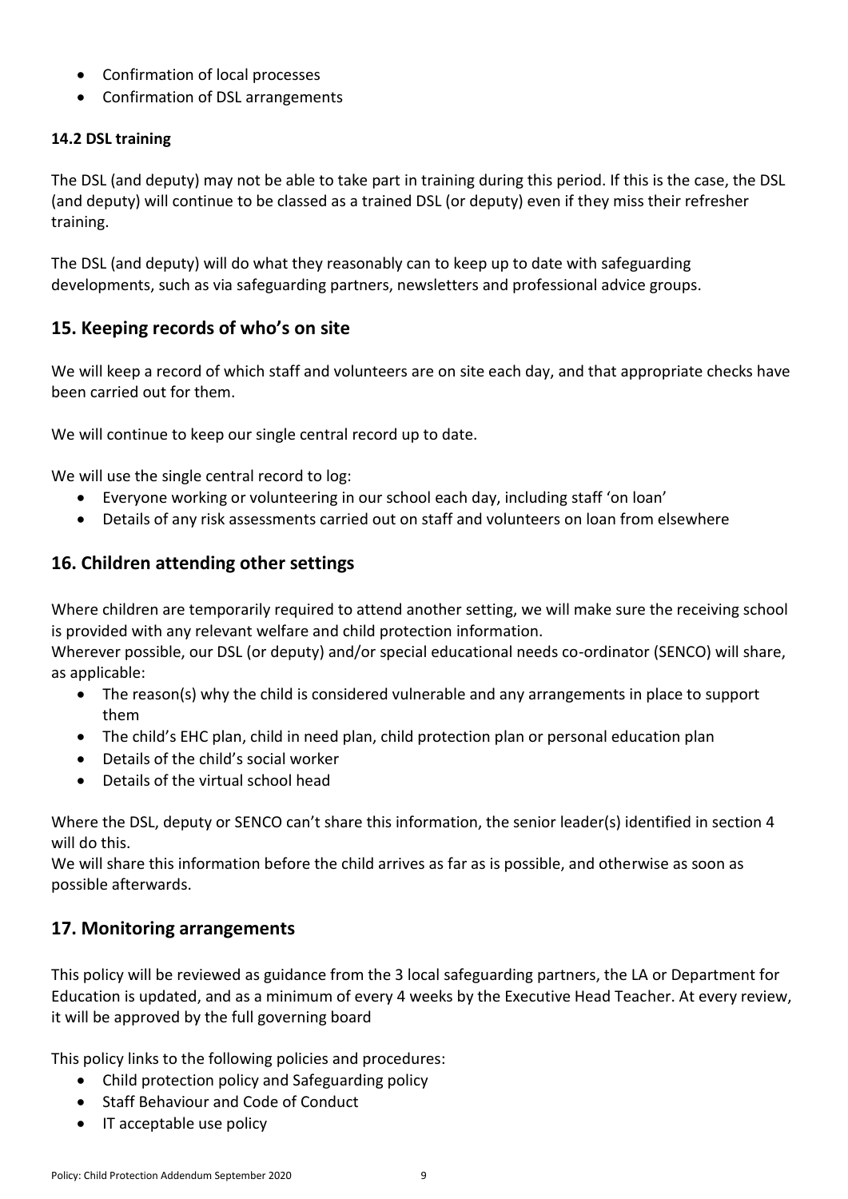- Confirmation of local processes
- Confirmation of DSL arrangements

### **14.2 DSL training**

The DSL (and deputy) may not be able to take part in training during this period. If this is the case, the DSL (and deputy) will continue to be classed as a trained DSL (or deputy) even if they miss their refresher training.

The DSL (and deputy) will do what they reasonably can to keep up to date with safeguarding developments, such as via safeguarding partners, newsletters and professional advice groups.

## <span id="page-8-0"></span>**15. Keeping records of who's on site**

We will keep a record of which staff and volunteers are on site each day, and that appropriate checks have been carried out for them.

We will continue to keep our single central record up to date.

We will use the single central record to log:

- Everyone working or volunteering in our school each day, including staff 'on loan'
- Details of any risk assessments carried out on staff and volunteers on loan from elsewhere

## <span id="page-8-1"></span>**16. Children attending other settings**

Where children are temporarily required to attend another setting, we will make sure the receiving school is provided with any relevant welfare and child protection information.

Wherever possible, our DSL (or deputy) and/or special educational needs co-ordinator (SENCO) will share, as applicable:

- The reason(s) why the child is considered vulnerable and any arrangements in place to support them
- The child's EHC plan, child in need plan, child protection plan or personal education plan
- Details of the child's social worker
- Details of the virtual school head

Where the DSL, deputy or SENCO can't share this information, the senior leader(s) identified in section 4 will do this.

We will share this information before the child arrives as far as is possible, and otherwise as soon as possible afterwards.

## <span id="page-8-2"></span>**17. Monitoring arrangements**

This policy will be reviewed as guidance from the 3 local safeguarding partners, the LA or Department for Education is updated, and as a minimum of every 4 weeks by the Executive Head Teacher. At every review, it will be approved by the full governing board

This policy links to the following policies and procedures:

- Child protection policy and Safeguarding policy
- Staff Behaviour and Code of Conduct
- IT acceptable use policy